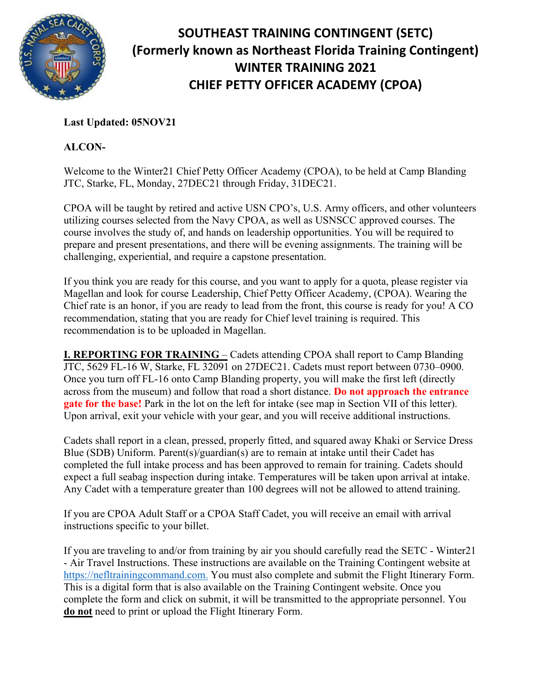

## **SOUTHEAST TRAINING CONTINGENT (SETC) (Formerly known as Northeast Florida Training Contingent) WINTER TRAINING 2021 CHIEF PETTY OFFICER ACADEMY (CPOA)**

## **Last Updated: 05NOV21**

## **ALCON-**

Welcome to the Winter21 Chief Petty Officer Academy (CPOA), to be held at Camp Blanding JTC, Starke, FL, Monday, 27DEC21 through Friday, 31DEC21.

CPOA will be taught by retired and active USN CPO's, U.S. Army officers, and other volunteers utilizing courses selected from the Navy CPOA, as well as USNSCC approved courses. The course involves the study of, and hands on leadership opportunities. You will be required to prepare and present presentations, and there will be evening assignments. The training will be challenging, experiential, and require a capstone presentation.

If you think you are ready for this course, and you want to apply for a quota, please register via Magellan and look for course Leadership, Chief Petty Officer Academy, (CPOA). Wearing the Chief rate is an honor, if you are ready to lead from the front, this course is ready for you! A CO recommendation, stating that you are ready for Chief level training is required. This recommendation is to be uploaded in Magellan.

**I. REPORTING FOR TRAINING** – Cadets attending CPOA shall report to Camp Blanding JTC, 5629 FL-16 W, Starke, FL 32091 on 27DEC21. Cadets must report between 0730–0900. Once you turn off FL-16 onto Camp Blanding property, you will make the first left (directly across from the museum) and follow that road a short distance. **Do not approach the entrance gate for the base!** Park in the lot on the left for intake (see map in Section VII of this letter). Upon arrival, exit your vehicle with your gear, and you will receive additional instructions.

Cadets shall report in a clean, pressed, properly fitted, and squared away Khaki or Service Dress Blue (SDB) Uniform. Parent(s)/guardian(s) are to remain at intake until their Cadet has completed the full intake process and has been approved to remain for training. Cadets should expect a full seabag inspection during intake. Temperatures will be taken upon arrival at intake. Any Cadet with a temperature greater than 100 degrees will not be allowed to attend training.

If you are CPOA Adult Staff or a CPOA Staff Cadet, you will receive an email with arrival instructions specific to your billet.

If you are traveling to and/or from training by air you should carefully read the SETC - Winter21 - Air Travel Instructions. These instructions are available on the Training Contingent website at [https://nefltrainingcommand.com.](https://nefltrainingcommand.com/) You must also complete and submit the Flight Itinerary Form. This is a digital form that is also available on the Training Contingent website. Once you complete the form and click on submit, it will be transmitted to the appropriate personnel. You **do not** need to print or upload the Flight Itinerary Form.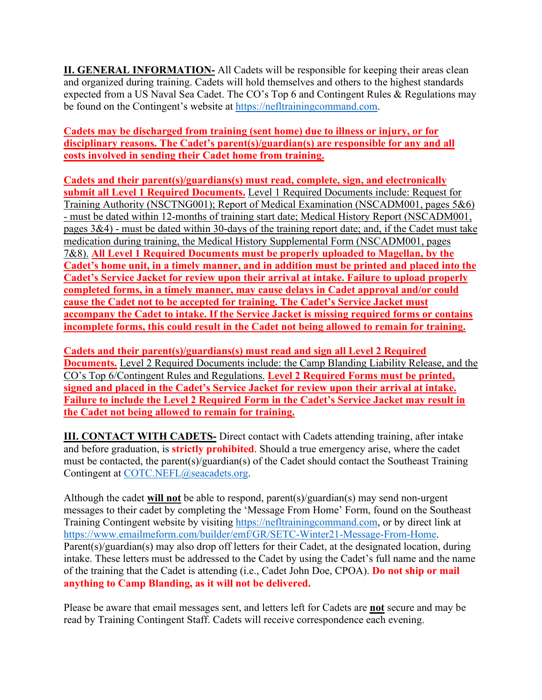**II. GENERAL INFORMATION-** All Cadets will be responsible for keeping their areas clean and organized during training. Cadets will hold themselves and others to the highest standards expected from a US Naval Sea Cadet. The CO's Top 6 and Contingent Rules & Regulations may be found on the Contingent's website at [https://nefltrainingcommand.com.](https://nefltrainingcommand.com/)

**Cadets may be discharged from training (sent home) due to illness or injury, or for disciplinary reasons. The Cadet's parent(s)/guardian(s) are responsible for any and all costs involved in sending their Cadet home from training.**

**Cadets and their parent(s)/guardians(s) must read, complete, sign, and electronically submit all Level 1 Required Documents.** Level 1 Required Documents include: Request for Training Authority (NSCTNG001); Report of Medical Examination (NSCADM001, pages 5&6) - must be dated within 12-months of training start date; Medical History Report (NSCADM001, pages 3&4) - must be dated within 30-days of the training report date; and, if the Cadet must take medication during training, the Medical History Supplemental Form (NSCADM001, pages 7&8). **All Level 1 Required Documents must be properly uploaded to Magellan, by the Cadet's home unit, in a timely manner, and in addition must be printed and placed into the Cadet's Service Jacket for review upon their arrival at intake. Failure to upload properly completed forms, in a timely manner, may cause delays in Cadet approval and/or could cause the Cadet not to be accepted for training. The Cadet's Service Jacket must accompany the Cadet to intake. If the Service Jacket is missing required forms or contains incomplete forms, this could result in the Cadet not being allowed to remain for training.**

**Cadets and their parent(s)/guardians(s) must read and sign all Level 2 Required Documents.** Level 2 Required Documents include: the Camp Blanding Liability Release, and the CO's Top 6/Contingent Rules and Regulations. **Level 2 Required Forms must be printed, signed and placed in the Cadet's Service Jacket for review upon their arrival at intake. Failure to include the Level 2 Required Form in the Cadet's Service Jacket may result in the Cadet not being allowed to remain for training.**

**III. CONTACT WITH CADETS-** Direct contact with Cadets attending training, after intake and before graduation, is **strictly prohibited**. Should a true emergency arise, where the cadet must be contacted, the parent(s)/guardian(s) of the Cadet should contact the Southeast Training Contingent at [COTC.NEFL@seacadets.org.](mailto:COTC.NEFL@seacadets.org)

Although the cadet **will not** be able to respond, parent(s)/guardian(s) may send non-urgent messages to their cadet by completing the 'Message From Home' Form, found on the Southeast Training Contingent website by visiting [https://nefltrainingcommand.com,](https://nefltrainingcommand.com/) or by direct link at [https://www.emailmeform.com/builder/emf/GR/SETC-Winter21-Message-From-Home.](https://www.emailmeform.com/builder/emf/GR/SETC-Winter21-Message-From-Home) Parent(s)/guardian(s) may also drop off letters for their Cadet, at the designated location, during intake. These letters must be addressed to the Cadet by using the Cadet's full name and the name of the training that the Cadet is attending (i.e., Cadet John Doe, CPOA). **Do not ship or mail anything to Camp Blanding, as it will not be delivered.**

Please be aware that email messages sent, and letters left for Cadets are **not** secure and may be read by Training Contingent Staff. Cadets will receive correspondence each evening.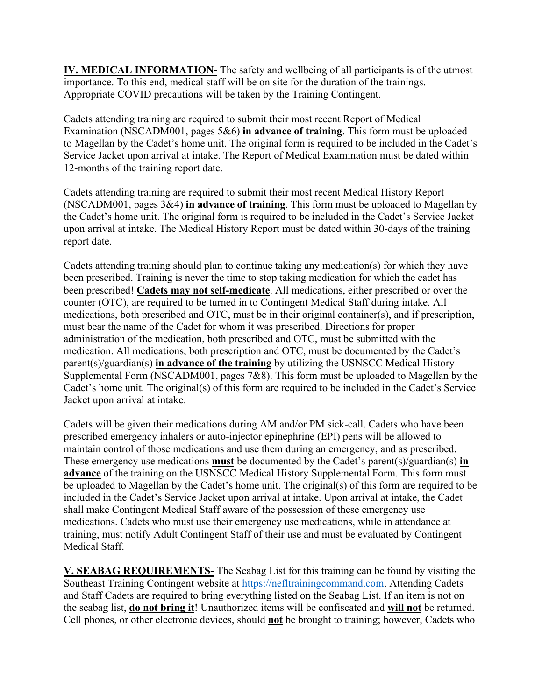**IV. MEDICAL INFORMATION-** The safety and wellbeing of all participants is of the utmost importance. To this end, medical staff will be on site for the duration of the trainings. Appropriate COVID precautions will be taken by the Training Contingent.

Cadets attending training are required to submit their most recent Report of Medical Examination (NSCADM001, pages 5&6) **in advance of training**. This form must be uploaded to Magellan by the Cadet's home unit. The original form is required to be included in the Cadet's Service Jacket upon arrival at intake. The Report of Medical Examination must be dated within 12-months of the training report date.

Cadets attending training are required to submit their most recent Medical History Report (NSCADM001, pages 3&4) **in advance of training**. This form must be uploaded to Magellan by the Cadet's home unit. The original form is required to be included in the Cadet's Service Jacket upon arrival at intake. The Medical History Report must be dated within 30-days of the training report date.

Cadets attending training should plan to continue taking any medication(s) for which they have been prescribed. Training is never the time to stop taking medication for which the cadet has been prescribed! **Cadets may not self-medicate**. All medications, either prescribed or over the counter (OTC), are required to be turned in to Contingent Medical Staff during intake. All medications, both prescribed and OTC, must be in their original container(s), and if prescription, must bear the name of the Cadet for whom it was prescribed. Directions for proper administration of the medication, both prescribed and OTC, must be submitted with the medication. All medications, both prescription and OTC, must be documented by the Cadet's parent(s)/guardian(s) **in advance of the training** by utilizing the USNSCC Medical History Supplemental Form (NSCADM001, pages 7&8). This form must be uploaded to Magellan by the Cadet's home unit. The original(s) of this form are required to be included in the Cadet's Service Jacket upon arrival at intake.

Cadets will be given their medications during AM and/or PM sick-call. Cadets who have been prescribed emergency inhalers or auto-injector epinephrine (EPI) pens will be allowed to maintain control of those medications and use them during an emergency, and as prescribed. These emergency use medications **must** be documented by the Cadet's parent(s)/guardian(s) **in advance** of the training on the USNSCC Medical History Supplemental Form. This form must be uploaded to Magellan by the Cadet's home unit. The original(s) of this form are required to be included in the Cadet's Service Jacket upon arrival at intake. Upon arrival at intake, the Cadet shall make Contingent Medical Staff aware of the possession of these emergency use medications. Cadets who must use their emergency use medications, while in attendance at training, must notify Adult Contingent Staff of their use and must be evaluated by Contingent Medical Staff.

**V. SEABAG REQUIREMENTS-** The Seabag List for this training can be found by visiting the Southeast Training Contingent website at [https://nefltrainingcommand.com.](https://nefltrainingcommand.com/) Attending Cadets and Staff Cadets are required to bring everything listed on the Seabag List. If an item is not on the seabag list, **do not bring it**! Unauthorized items will be confiscated and **will not** be returned. Cell phones, or other electronic devices, should **not** be brought to training; however, Cadets who